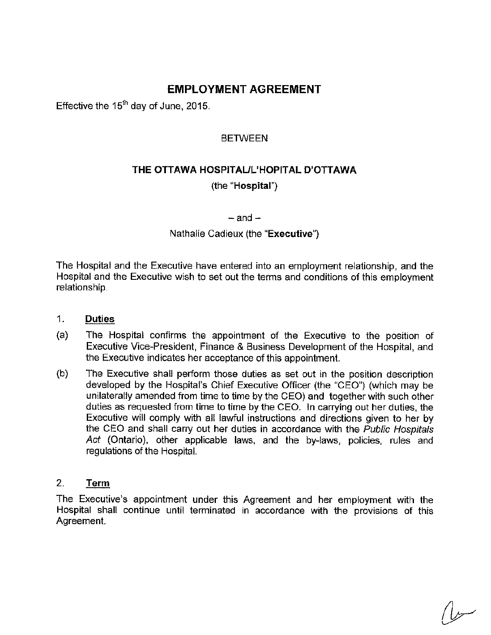# **EMPLOYMENT AGREEMENT**

Effective the  $15<sup>th</sup>$  day of June, 2015.

# **BETWEEN**

# **THE OTTAWA HOSPITAUL'HOPITAL D'OTTAWA**  (the **"Hospital")**

 $-$ and $-$ 

Nathalie Cadieux (the **"Executive")** 

The Hospital and the Executive have entered into an employment relationship, and the Hospital and the Executive wish to set out the terms and conditions of this employment **relationship.** 

#### 1. **Duties**

- (a) The Hospital confirms the appointment of the Executive to the position of Executive Vice-President, Finance & Business Development of the Hospital, and the Executive indicates her acceptance of this appointment.
- (b) The Executive shall perform those duties as set out in the position description developed by the Hospital's Chief Executive Officer (the "CEO") (which may be unilaterally amended from time to time by the CEO) and together with such other duties as requested from time to time by the CEO. In carrying out her duties, the Executive will comply with all lawful instructions and directions given to her by the CEO and shall carry out her duties in accordance with the *Public Hospitals Act* (Ontario), other applicable laws, and the by-laws, policies, rules and regulations of the Hospital.

## 2. **Term**

The Executive's appointment under this Agreement and her employment with the **Hospital shall continue until terminated in accordance with the provisions of this Agreement.**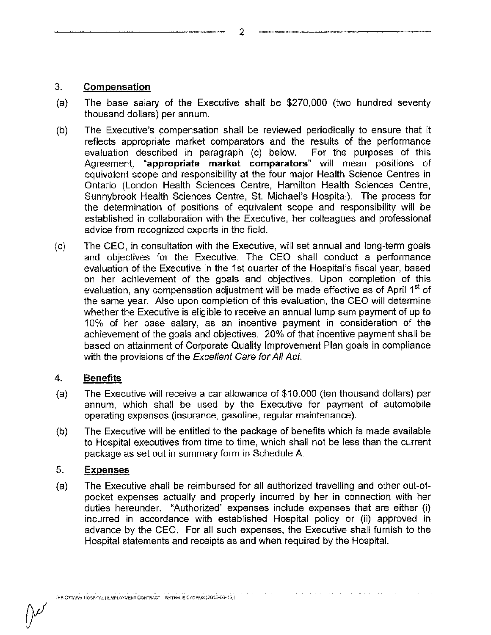## **3. Compensation**

- (a) The base salary of the Executive shall be  $$270,000$  (two hundred seventy thousand dollars) per annum.
- (b) The Executive's compensation shall be reviewed periodically to ensure that it reflects appropriate market comparators and the results of the perfonnance evaluation described in paragraph (c) below. For the purposes of this **Agreement, "appropriate market comparators" will mean positions of equivalent scope and responsibility at the four major Health Science Centres in**  Ontario (London Health Sciences Centre, Hamilton Health Sciences Centre, Sunnybrook Health Sciences Centre, St. Michael's Hospital). The process for the determination of positions of equivalent scope and responsibility will be established in collaboration with the Executive, her colleagues and professional advice from recognized experts in the field.
- (c) The CEO, in consultation with the Executive, will set annual and long-term goals and objectives for the Executive. The CEO shall conduct a performance evaluation of the Executive in the 1st quarter of the Hospital's fiscal year, based **on her achievement of the goals and objectives. Upon completion of this evaluation, any compensation adjustment will be made effective as of April 1st of**  the same year. Also upon completion of this evaluation, the CEO will determine whether the Executive is eligible to receive an annual lump sum payment of up to 10% of her base salary, as an incentive payment in consideration of the achievement of the goals and objectives. 20% of that incentive payment shall be based on attainment of Corporate Quality Improvement Plan goals in compliance with the provisions of the *Excellent Care for All Act.*

## 4. **Benefits**

- (a) The Executive will receive a car allowance of \$10,000 (ten thousand dollars) per annum, which shall be used by the Executive for payment of automobile **operating expenses (insurance, gasoline, regular maintenance).**
- (b) The Executive will be entitled to the package of benefits which is made available to Hospital executives from time to time, which shall not be less than the current package as set out in summary form in Schedule A

# 5. **Expenses**

(a) The Executive shall be reimbursed for all authorized travelling and other out-ofpocket expenses actually and properly incurred by her in connection with her **duties hereunder. "Authorized" expenses include expenses that are either (i) incurred in accordance with established Hospital policy or** (ii) **approved in**  advance by the CEO. For all such expenses, the Executive shall furnish to the Hospital statements and receipts as and when required by the Hospital.

2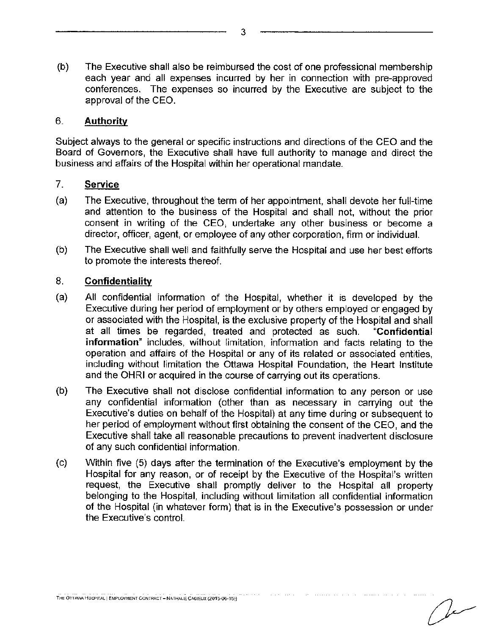(b) The Executive shall also be reimbursed the cost of one professional membership each year and all expenses incurred by her in connection with pre-approved conferences. The expenses so incurred by the Executive are subject to the approval of the CEO.

#### 6. **Authority**

Subject always to the general or specific instructions and directions of the CEO and the Board of Governors, the Executive shall have full authority to manage and direct the business and affairs of the Hospital within her operational mandate.

#### 7. **Service**

- (a) The Executive, throughout the term of her appointment, shall devote her full-time and attention to the business of the Hospital and shall not, without the prior consent in writing of the CEO, undertake any other business or become a **director, officer, agent, or employee of any other corporation, firm or individual.**
- (b) The Executive shall well and faithfully serve the Hospital and use her best efforts to promote the interests thereof.

## 8. **Confidentiality**

- (a) All confidential information of the Hospital, whether it is developed by the Executive during her period of employment or by others employed or engaged by or associated with the Hospital, is the exclusive property of the Hospital and shall at all times be regarded, treated and protected as such. **"Confidential information"** includes, without limitation, information and facts relating to the **operation and affairs of the Hospital or any of its related or associated entities,**  including without limitation the Ottawa Hospital Foundation, the Heart Institute and the OHRI or acquired in the course of carrying out its operations.
- (b) The Executive shall not disclose confidential information to any person or use any confidential information (other than as necessary in carrying out the Executive's duties on behalf of the Hospital) at any time during or subsequent to her period of employment without first obtaining the consent of the CEO, and the Executive shall take all reasonable precautions to prevent inadvertent disclosure of any such confidential information.
- (c) Within five (5) days after the termination of the Executive's employment by the Hospital for any reason, or of receipt by the Executive of the Hospital's written request, the Executive shall promptly deliver to the Hospital all property belonging to the Hospital, including without limitation all confidential information of the Hospital (in whatever form) that is in the Executive's possession or under **the Executive's control.**

والوالون المتحدث والمتواز

3

سدا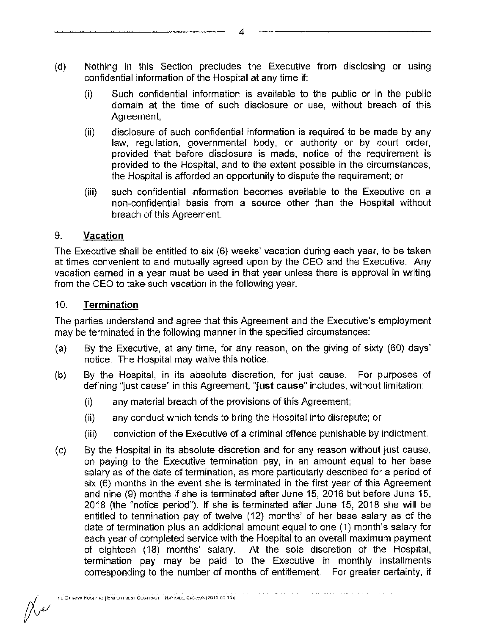- (d) Nothing in this Section precludes the Executive from disclosing or using confidential information of the Hospital at any time if:
	- $(i)$  Such confidential information is available to the public or in the public domain at the time of such disclosure or use, without breach of this Agreement:
	- **(ii) disclosure of such confidential information is required to be made by any law, regulation, governmental body, or authority or by court order, provided that before disclosure is made, notice of the requirement is**  provided to the Hospital, and to the extent possible in the circumstances, the Hospital is afforded an opportunity to dispute the requirement: or
	- (iii) such confidential information becomes available to the Executive on a non-confidential basis from a source other than the Hospital without breach of this Agreement.

# 9. **Vacation**

The Executive shall be entitled to six (6) weeks' vacation during each year, to be taken at times convenient to and mutually agreed upon by the CEO and the Executive. Any **vacation earned in a year must be used in that year unless there is approval in writing**  from the CEO to take such vacation in the following year.

# 10. **Termination**

The parties understand and agree that this Agreement and the Executive's employment may be terminated in the following manner in the specified circumstances:

- (a) By the Executive, at any time, for any reason, on the giving of sixty (60) days' notice. The Hospital may waive this notice.
- (b) By the Hospital, in its absolute discretion, for just cause. For purposes of **defining "just cause" in this Agreement, "just cause" includes, without limitation:** 
	- (i) any material breach of the provisions of this Agreement:
	- (ii) any conduct which tends to bring the Hospital into disrepute; or
	- (iii) conviction of the Executive of a criminal offence punishable by indictment.
- (c) By the Hospital in its absolute discretion and for any reason without just cause, on paying to the Executive termination pay, in an amount equal to her base **salary as of the date of termination, as more particularly described for a period of six (6) months in the event she is terminated in the first year of this Agreement**  and nine (9) months if she is terminated after June 15, 2016 but before June 15, 2018 (the "notice period"). If she is terminated after June 15, 2018 she will be entitled to termination pay of twelve (12) months' of her base salary as of the date of termination plus an additional amount equal to one (1) month's salary for each year of completed service with the Hospital to an overall maximum payment of eighteen (18) months' salary. At the sole discretion of the Hospital, termination pay may be paid to the Executive in monthly installments corresponding to the number of months of entitlement. For greater certainty, if

 $\mathbb{R}$ 

4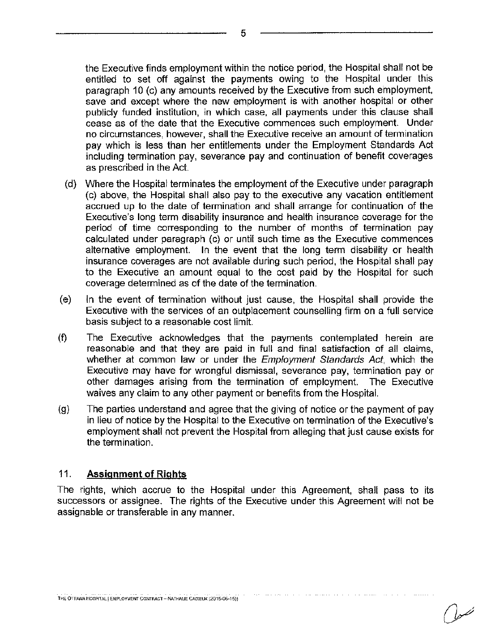the Executive finds employment within the notice period, the Hospital shall not be entitled to set off against the payments owing to the Hospital under this paragraph 10 (c) any amounts received by the Executive from such employment, save and except where the new employment is with another hospital or other publicly funded institution, in which case, all payments under this clause shall cease as of the date that the Executive commences such employment. Under **no circumstances, however, shall the Executive receive an amount of termination**  pay which is less than her entitlements under the Employment Standards Act including termination pay, severance pay and continuation of benefit coverages as prescribed in the Act.

- (d) Where the Hospital terminates the employment of the Executive under paragraph (c) above, the Hospital shall also pay to the executive any vacation entitlement accrued up to the date of termination and shall arrange for continuation of the **Executive's long term disability insurance and health insurance coverage for the**  period of time corresponding to the number of months of termination pay **calculated under paragraph (c) or until such time as the Executive commences**  alternative employment. In the event that the long term disability or health insurance coverages are not available during such period, the Hospital shall pay to the Executive an amount equal to the cost paid by the Hospital for such coverage determined as of the date of the termination.
- (e) In the event of termination without just cause, the Hospital shall provide the Executive with the services of an outplacement counselling firm on a full service basis subject to a reasonable cost limit.
- (f) The Executive acknowledges that the payments contemplated herein are reasonable and that they are paid in full and final satisfaction of all claims, whether at common law or under the *Employment Standards Act,* which the **Executive may have for wrongful dismissal, severance pay, termination pay or**  other damages arising from the termination of employment. The Executive waives any claim to any other payment or benefits from the Hospital.
- (g) The parties understand and agree that the giving of notice or the payment of pay in lieu of notice by the Hospital to the Executive on termination of the Executive's employment shall not prevent the Hospital from alleging that just cause exists for the termination.

## 11. **Assignment of Rights**

The rights, which accrue to the Hospital under this Agreement, shall pass to its successors or assignee. The rights of the Executive under this Agreement will not be **assignable or transferable in any manner.** 

5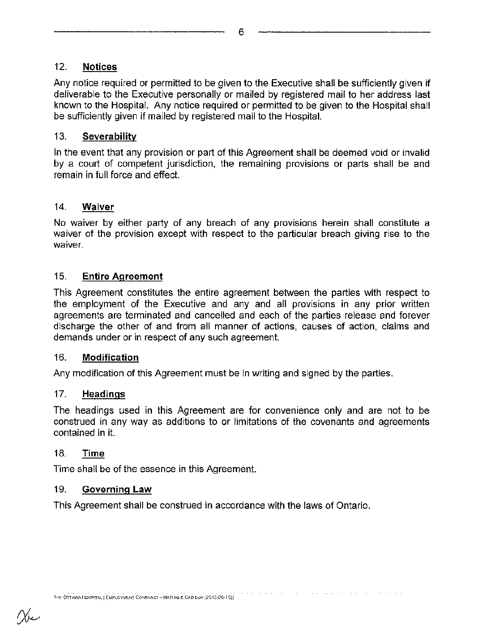6

# 12. **Notices**

Any notice required or permitted to be given to the Executive shall be sufficiently given if deliverable to the Executive personally or mailed by registered mail to her address last known to the Hospital. Any notice required or permitted to be given to the Hospital shall be sufficiently given if mailed by registered mail to the Hospital.

## 13. **Severability**

In the event that any provision or part of this Agreement shall be deemed void or invalid by a court of competent jurisdiction, the remaining provisions or parts shall be and remain in full force and effect.

## 14. **Waiver**

**No waiver by either party of any breach of any provisions herein shall constitute a**  waiver of the provision except with respect to the particular breach giving rise to the **waiver.** 

## 15. **Entire Agreement**

This Agreement constitutes the entire agreement between the parties with respect to the employment of the Executive and any and all provisions in any prior written agreements are terminated and cancelled and each of the parties release and forever **discharge the other of and from all manner of actions, causes of action, claims and demands under or in respect of any such agreement.** 

## 16. **Modification**

**Any modification of this Agreement must be in writing and signed by the parties.** 

## 17. **Headings**

The headings used in this Agreement are for convenience only and are not to be construed in any way as additions to or limitations of the covenants and agreements contained in it.

## 18. Time

Time shall be of the essence in this Agreement.

## 19. Governing **Law**

This Agreement shall be construed in accordance with the laws of Ontario.

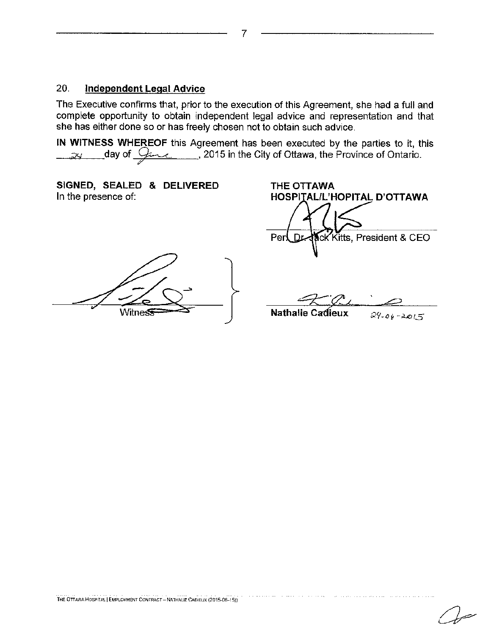#### 20. **Independent Legal Advice**

The Executive confirms that, prior to the execution of this Agreement, she had a full and complete opportunity to obtain independent legal advice and representation and that she has either done so or has freely chosen not to obtain such advice.

**IN WITNESS WHEREOF** this Agreement has been executed by the parties to it, this  $\omega$  day of  $\mathcal{G}$  , 2015 in the City of Ottawa, the Province of Ontario.

**SIGNED, SEALED & DELIVERED THE OTTAWA In the presence of: CONTRALLY AND THE OTTAWA** 

Witness<sup>------</sub>--<sup>---</sup> | Nathalie Cadieux</sup>

**HOSPITAL/L'HOPITAL D'OTTAWA** Per! D. ck Kitts, President & CEO

 $\frac{1}{29.06 - 2015}$ 

7